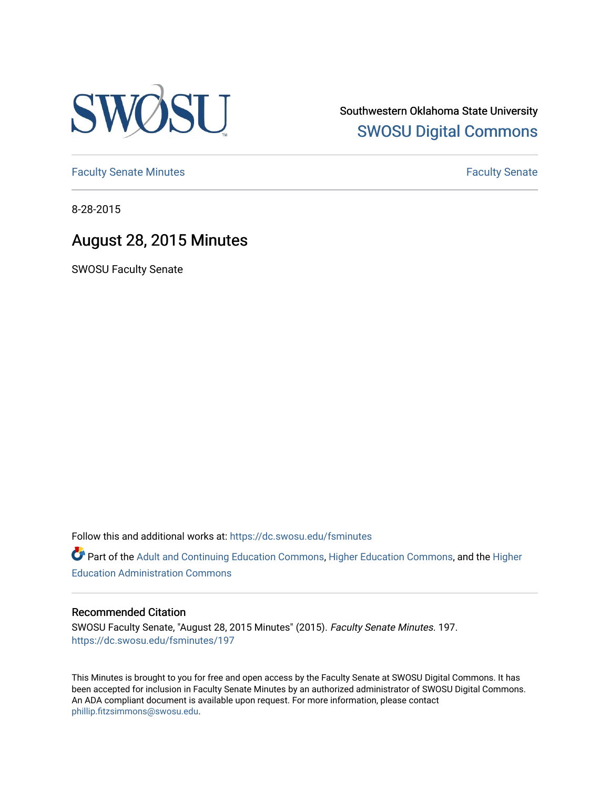

Southwestern Oklahoma State University [SWOSU Digital Commons](https://dc.swosu.edu/) 

[Faculty Senate Minutes](https://dc.swosu.edu/fsminutes) **Faculty** Senate Minutes

8-28-2015

## August 28, 2015 Minutes

SWOSU Faculty Senate

Follow this and additional works at: [https://dc.swosu.edu/fsminutes](https://dc.swosu.edu/fsminutes?utm_source=dc.swosu.edu%2Ffsminutes%2F197&utm_medium=PDF&utm_campaign=PDFCoverPages) 

Part of the [Adult and Continuing Education Commons,](http://network.bepress.com/hgg/discipline/1375?utm_source=dc.swosu.edu%2Ffsminutes%2F197&utm_medium=PDF&utm_campaign=PDFCoverPages) [Higher Education Commons,](http://network.bepress.com/hgg/discipline/1245?utm_source=dc.swosu.edu%2Ffsminutes%2F197&utm_medium=PDF&utm_campaign=PDFCoverPages) and the [Higher](http://network.bepress.com/hgg/discipline/791?utm_source=dc.swosu.edu%2Ffsminutes%2F197&utm_medium=PDF&utm_campaign=PDFCoverPages) [Education Administration Commons](http://network.bepress.com/hgg/discipline/791?utm_source=dc.swosu.edu%2Ffsminutes%2F197&utm_medium=PDF&utm_campaign=PDFCoverPages) 

#### Recommended Citation

SWOSU Faculty Senate, "August 28, 2015 Minutes" (2015). Faculty Senate Minutes. 197. [https://dc.swosu.edu/fsminutes/197](https://dc.swosu.edu/fsminutes/197?utm_source=dc.swosu.edu%2Ffsminutes%2F197&utm_medium=PDF&utm_campaign=PDFCoverPages) 

This Minutes is brought to you for free and open access by the Faculty Senate at SWOSU Digital Commons. It has been accepted for inclusion in Faculty Senate Minutes by an authorized administrator of SWOSU Digital Commons. An ADA compliant document is available upon request. For more information, please contact [phillip.fitzsimmons@swosu.edu](mailto:phillip.fitzsimmons@swosu.edu).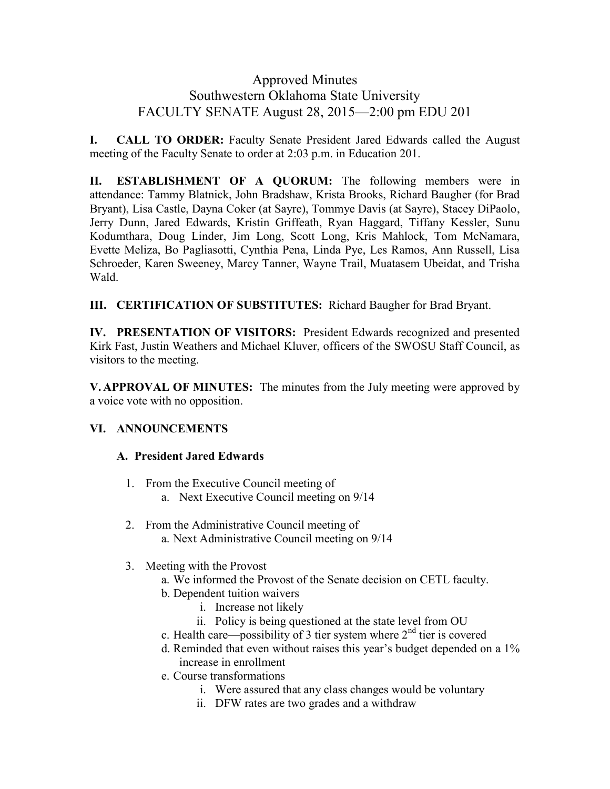### Approved Minutes Southwestern Oklahoma State University FACULTY SENATE August 28, 2015—2:00 pm EDU 201

**I. CALL TO ORDER:** Faculty Senate President Jared Edwards called the August meeting of the Faculty Senate to order at 2:03 p.m. in Education 201.

**II. ESTABLISHMENT OF A QUORUM:** The following members were in attendance: Tammy Blatnick, John Bradshaw, Krista Brooks, Richard Baugher (for Brad Bryant), Lisa Castle, Dayna Coker (at Sayre), Tommye Davis (at Sayre), Stacey DiPaolo, Jerry Dunn, Jared Edwards, Kristin Griffeath, Ryan Haggard, Tiffany Kessler, Sunu Kodumthara, Doug Linder, Jim Long, Scott Long, Kris Mahlock, Tom McNamara, Evette Meliza, Bo Pagliasotti, Cynthia Pena, Linda Pye, Les Ramos, Ann Russell, Lisa Schroeder, Karen Sweeney, Marcy Tanner, Wayne Trail, Muatasem Ubeidat, and Trisha Wald.

**III. CERTIFICATION OF SUBSTITUTES:** Richard Baugher for Brad Bryant.

**IV. PRESENTATION OF VISITORS:** President Edwards recognized and presented Kirk Fast, Justin Weathers and Michael Kluver, officers of the SWOSU Staff Council, as visitors to the meeting.

**V. APPROVAL OF MINUTES:** The minutes from the July meeting were approved by a voice vote with no opposition.

#### **VI. ANNOUNCEMENTS**

#### **A. President Jared Edwards**

- 1. From the Executive Council meeting of
	- a. Next Executive Council meeting on 9/14
- 2. From the Administrative Council meeting of a. Next Administrative Council meeting on 9/14
- 3. Meeting with the Provost
	- a. We informed the Provost of the Senate decision on CETL faculty.
	- b. Dependent tuition waivers
		- i. Increase not likely
		- ii. Policy is being questioned at the state level from OU
	- c. Health care—possibility of 3 tier system where  $2<sup>nd</sup>$  tier is covered
	- d. Reminded that even without raises this year's budget depended on a 1% increase in enrollment
	- e. Course transformations
		- i. Were assured that any class changes would be voluntary
		- ii. DFW rates are two grades and a withdraw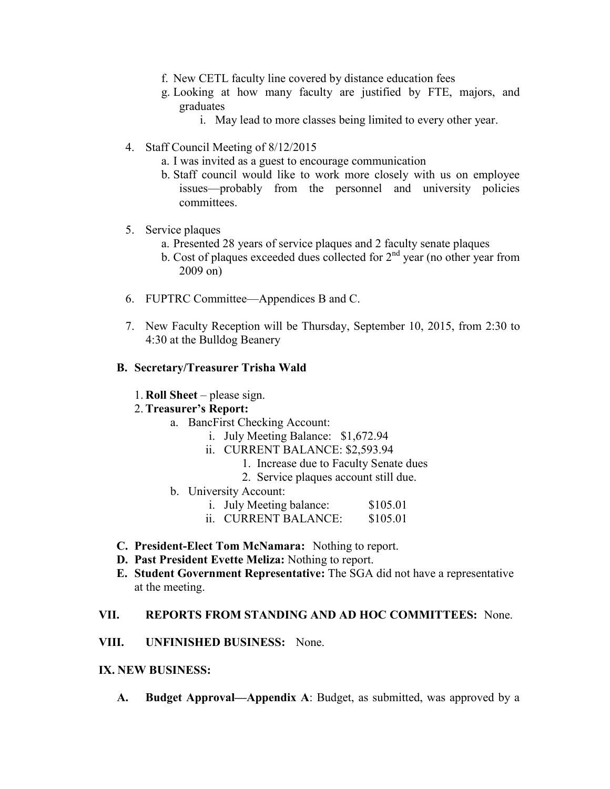- f. New CETL faculty line covered by distance education fees
- g. Looking at how many faculty are justified by FTE, majors, and graduates
	- i. May lead to more classes being limited to every other year.
- 4. Staff Council Meeting of 8/12/2015
	- a. I was invited as a guest to encourage communication
	- b. Staff council would like to work more closely with us on employee issues—probably from the personnel and university policies committees.
- 5. Service plaques
	- a. Presented 28 years of service plaques and 2 faculty senate plaques
	- b. Cost of plaques exceeded dues collected for  $2<sup>nd</sup>$  year (no other year from 2009 on)
- 6. FUPTRC Committee—Appendices B and C.
- 7. New Faculty Reception will be Thursday, September 10, 2015, from 2:30 to 4:30 at the Bulldog Beanery

#### **B. Secretary/Treasurer Trisha Wald**

#### 1. **Roll Sheet** – please sign.

#### 2. **Treasurer's Report:**

- a. BancFirst Checking Account:
	- i. July Meeting Balance: \$1,672.94
	- ii. CURRENT BALANCE: \$2,593.94
		- 1. Increase due to Faculty Senate dues
		- 2. Service plaques account still due.
- b. University Account:
	- i. July Meeting balance: \$105.01
	- ii. CURRENT BALANCE: \$105.01
- **C. President-Elect Tom McNamara:** Nothing to report.
- **D. Past President Evette Meliza:** Nothing to report.
- **E. Student Government Representative:** The SGA did not have a representative at the meeting.

#### **VII. REPORTS FROM STANDING AND AD HOC COMMITTEES:** None.

**VIII. UNFINISHED BUSINESS:** None.

#### **IX. NEW BUSINESS:**

**A. Budget Approval—Appendix A**: Budget, as submitted, was approved by a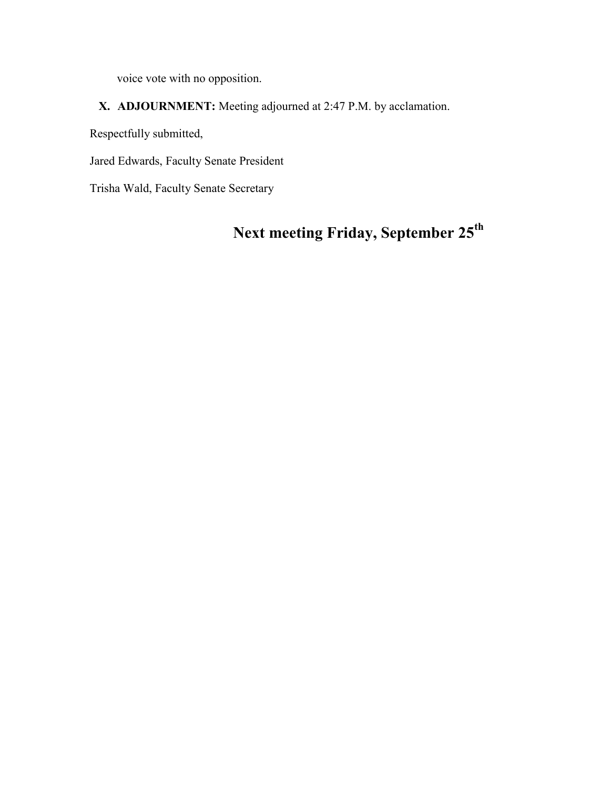voice vote with no opposition.

### **X. ADJOURNMENT:** Meeting adjourned at 2:47 P.M. by acclamation.

Respectfully submitted,

Jared Edwards, Faculty Senate President

Trisha Wald, Faculty Senate Secretary

# **Next meeting Friday, September 25th**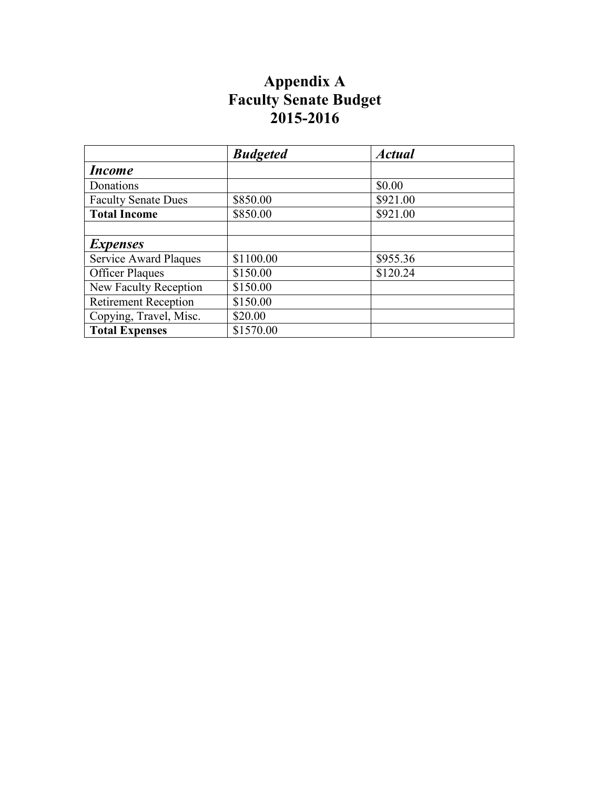## **Appendix A Faculty Senate Budget 2015-2016**

|                              | <b>Budgeted</b> | <b>Actual</b> |
|------------------------------|-----------------|---------------|
| <i>Income</i>                |                 |               |
| Donations                    |                 | \$0.00        |
| <b>Faculty Senate Dues</b>   | \$850.00        | \$921.00      |
| <b>Total Income</b>          | \$850.00        | \$921.00      |
|                              |                 |               |
| <i>Expenses</i>              |                 |               |
| <b>Service Award Plaques</b> | \$1100.00       | \$955.36      |
| <b>Officer Plaques</b>       | \$150.00        | \$120.24      |
| New Faculty Reception        | \$150.00        |               |
| <b>Retirement Reception</b>  | \$150.00        |               |
| Copying, Travel, Misc.       | \$20.00         |               |
| <b>Total Expenses</b>        | \$1570.00       |               |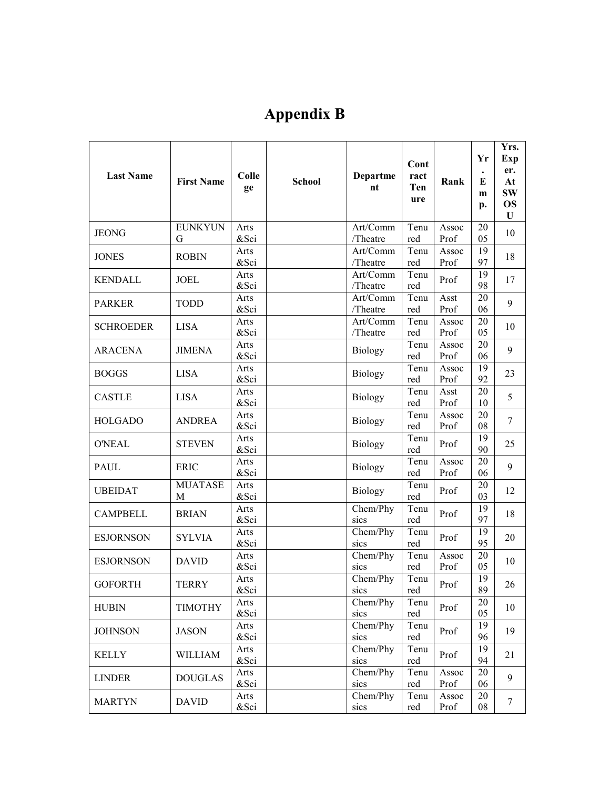# **Appendix B**

| <b>Last Name</b> | <b>First Name</b>   | Colle<br>ge  | <b>School</b> | <b>Departme</b><br>nt | Cont<br>ract<br>Ten<br>ure | Rank          | Yr<br>E<br>m<br>p.    | Yrs.<br>Exp<br>er.<br>At<br><b>SW</b><br><b>OS</b><br>U |
|------------------|---------------------|--------------|---------------|-----------------------|----------------------------|---------------|-----------------------|---------------------------------------------------------|
| <b>JEONG</b>     | <b>EUNKYUN</b><br>G | Arts<br>&Sci |               | Art/Comm<br>/Theatre  | Tenu<br>red                | Assoc<br>Prof | 20<br>05              | 10                                                      |
| <b>JONES</b>     | <b>ROBIN</b>        | Arts<br>&Sci |               | Art/Comm<br>/Theatre  | Tenu<br>red                | Assoc<br>Prof | 19<br>97              | 18                                                      |
| <b>KENDALL</b>   | <b>JOEL</b>         | Arts<br>&Sci |               | Art/Comm<br>/Theatre  | Tenu<br>red                | Prof          | 19<br>98              | 17                                                      |
| <b>PARKER</b>    | <b>TODD</b>         | Arts<br>&Sci |               | Art/Comm<br>/Theatre  | Tenu<br>red                | Asst<br>Prof  | $\overline{20}$<br>06 | 9                                                       |
| <b>SCHROEDER</b> | <b>LISA</b>         | Arts<br>&Sci |               | Art/Comm<br>/Theatre  | Tenu<br>red                | Assoc<br>Prof | 20<br>05              | 10                                                      |
| <b>ARACENA</b>   | <b>JIMENA</b>       | Arts<br>&Sci |               | <b>Biology</b>        | Tenu<br>red                | Assoc<br>Prof | 20<br>06              | 9                                                       |
| <b>BOGGS</b>     | <b>LISA</b>         | Arts<br>&Sci |               | Biology               | Tenu<br>red                | Assoc<br>Prof | 19<br>92              | 23                                                      |
| <b>CASTLE</b>    | <b>LISA</b>         | Arts<br>&Sci |               | <b>Biology</b>        | Tenu<br>red                | Asst<br>Prof  | 20<br>10              | 5                                                       |
| <b>HOLGADO</b>   | <b>ANDREA</b>       | Arts<br>&Sci |               | <b>Biology</b>        | Tenu<br>red                | Assoc<br>Prof | 20<br>08              | 7                                                       |
| <b>O'NEAL</b>    | <b>STEVEN</b>       | Arts<br>&Sci |               | <b>Biology</b>        | Tenu<br>red                | Prof          | 19<br>90              | 25                                                      |
| <b>PAUL</b>      | <b>ERIC</b>         | Arts<br>&Sci |               | <b>Biology</b>        | Tenu<br>red                | Assoc<br>Prof | 20<br>06              | 9                                                       |
| <b>UBEIDAT</b>   | <b>MUATASE</b><br>M | Arts<br>&Sci |               | <b>Biology</b>        | Tenu<br>red                | Prof          | 20<br>03              | 12                                                      |
| <b>CAMPBELL</b>  | <b>BRIAN</b>        | Arts<br>&Sci |               | Chem/Phy<br>sics      | Tenu<br>red                | Prof          | 19<br>97              | 18                                                      |
| <b>ESJORNSON</b> | <b>SYLVIA</b>       | Arts<br>&Sci |               | Chem/Phy<br>sics      | Tenu<br>red                | Prof          | 19<br>95              | 20                                                      |
| <b>ESJORNSON</b> | <b>DAVID</b>        | Arts<br>&Sci |               | Chem/Phy<br>sics      | Tenu<br>red                | Assoc<br>Prof | 20<br>05              | 10                                                      |
| <b>GOFORTH</b>   | <b>TERRY</b>        | Arts<br>&Sci |               | Chem/Phy<br>sics      | Tenu<br>red                | Prof          | 19<br>89              | 26                                                      |
| <b>HUBIN</b>     | <b>TIMOTHY</b>      | Arts<br>&Sci |               | Chem/Phy<br>sics      | Tenu<br>red                | Prof          | 20<br>05              | 10                                                      |
| <b>JOHNSON</b>   | <b>JASON</b>        | Arts<br>&Sci |               | Chem/Phy<br>sics      | Tenu<br>red                | Prof          | 19<br>96              | 19                                                      |
| <b>KELLY</b>     | <b>WILLIAM</b>      | Arts<br>&Sci |               | Chem/Phy<br>sics      | Tenu<br>red                | Prof          | $\overline{19}$<br>94 | 21                                                      |
| <b>LINDER</b>    | <b>DOUGLAS</b>      | Arts<br>&Sci |               | Chem/Phy<br>sics      | Tenu<br>red                | Assoc<br>Prof | 20<br>06              | 9                                                       |
| <b>MARTYN</b>    | <b>DAVID</b>        | Arts<br>&Sci |               | Chem/Phy<br>sics      | Tenu<br>red                | Assoc<br>Prof | 20<br>08              | 7                                                       |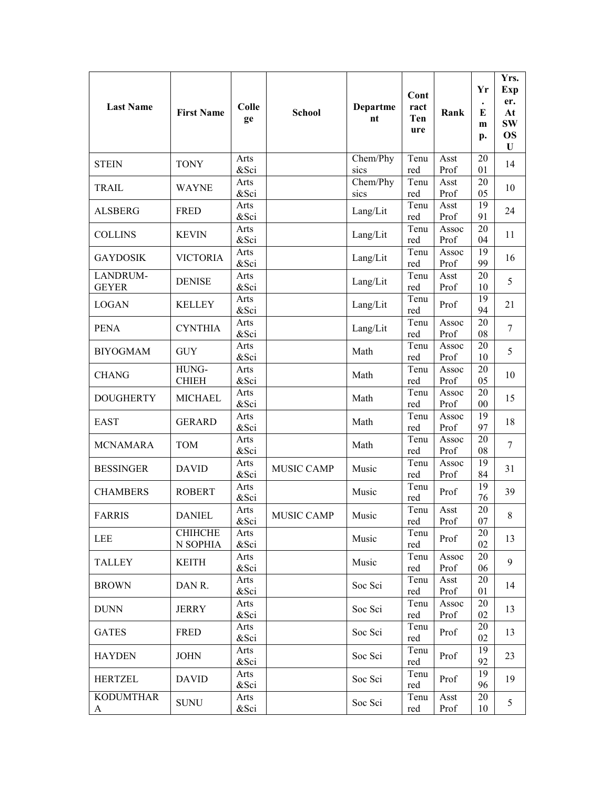| <b>Last Name</b>         | <b>First Name</b>          | Colle<br>ge  | <b>School</b>     | <b>Departme</b><br>nt | Cont<br>ract<br>Ten<br>ure | Rank          | Yr<br>E<br>m<br>p. | Yrs.<br><b>Exp</b><br>er.<br>At<br><b>SW</b><br><b>OS</b><br>U |
|--------------------------|----------------------------|--------------|-------------------|-----------------------|----------------------------|---------------|--------------------|----------------------------------------------------------------|
| <b>STEIN</b>             | <b>TONY</b>                | Arts<br>&Sci |                   | Chem/Phy<br>sics      | Tenu<br>red                | Asst<br>Prof  | 20<br>01           | 14                                                             |
| <b>TRAIL</b>             | <b>WAYNE</b>               | Arts<br>&Sci |                   | Chem/Phy<br>sics      | Tenu<br>red                | Asst<br>Prof  | 20<br>05           | 10                                                             |
| <b>ALSBERG</b>           | <b>FRED</b>                | Arts<br>&Sci |                   | Lang/Lit              | Tenu<br>red                | Asst<br>Prof  | 19<br>91           | 24                                                             |
| <b>COLLINS</b>           | <b>KEVIN</b>               | Arts<br>&Sci |                   | Lang/Lit              | Tenu<br>red                | Assoc<br>Prof | 20<br>04           | 11                                                             |
| <b>GAYDOSIK</b>          | <b>VICTORIA</b>            | Arts<br>&Sci |                   | Lang/Lit              | Tenu<br>red                | Assoc<br>Prof | 19<br>99           | 16                                                             |
| LANDRUM-<br><b>GEYER</b> | <b>DENISE</b>              | Arts<br>&Sci |                   | Lang/Lit              | Tenu<br>red                | Asst<br>Prof  | 20<br>10           | 5                                                              |
| <b>LOGAN</b>             | <b>KELLEY</b>              | Arts<br>&Sci |                   | Lang/Lit              | Tenu<br>red                | Prof          | 19<br>94           | 21                                                             |
| <b>PENA</b>              | <b>CYNTHIA</b>             | Arts<br>&Sci |                   | Lang/Lit              | Tenu<br>red                | Assoc<br>Prof | 20<br>08           | $\overline{7}$                                                 |
| <b>BIYOGMAM</b>          | <b>GUY</b>                 | Arts<br>&Sci |                   | Math                  | Tenu<br>red                | Assoc<br>Prof | 20<br>10           | 5                                                              |
| <b>CHANG</b>             | HUNG-<br><b>CHIEH</b>      | Arts<br>&Sci |                   | Math                  | Tenu<br>red                | Assoc<br>Prof | 20<br>05           | 10                                                             |
| <b>DOUGHERTY</b>         | <b>MICHAEL</b>             | Arts<br>&Sci |                   | Math                  | Tenu<br>red                | Assoc<br>Prof | 20<br>00           | 15                                                             |
| <b>EAST</b>              | <b>GERARD</b>              | Arts<br>&Sci |                   | Math                  | Tenu<br>red                | Assoc<br>Prof | 19<br>97           | 18                                                             |
| <b>MCNAMARA</b>          | <b>TOM</b>                 | Arts<br>&Sci |                   | Math                  | Tenu<br>red                | Assoc<br>Prof | 20<br>08           | 7                                                              |
| <b>BESSINGER</b>         | <b>DAVID</b>               | Arts<br>&Sci | <b>MUSIC CAMP</b> | Music                 | Tenu<br>red                | Assoc<br>Prof | 19<br>84           | 31                                                             |
| <b>CHAMBERS</b>          | <b>ROBERT</b>              | Arts<br>&Sci |                   | Music                 | Tenu<br>red                | Prof          | 19<br>76           | 39                                                             |
| <b>FARRIS</b>            | <b>DANIEL</b>              | Arts<br>&Sci | <b>MUSIC CAMP</b> | Music                 | Tenu<br>red                | Asst<br>Prof  | 20<br>07           | 8                                                              |
| LEE                      | <b>CHIHCHE</b><br>N SOPHIA | Arts<br>&Sci |                   | Music                 | Tenu<br>red                | Prof          | 20<br>02           | 13                                                             |
| <b>TALLEY</b>            | <b>KEITH</b>               | Arts<br>&Sci |                   | Music                 | Tenu<br>red                | Assoc<br>Prof | 20<br>06           | 9                                                              |
| <b>BROWN</b>             | DAN R.                     | Arts<br>&Sci |                   | Soc Sci               | Tenu<br>red                | Asst<br>Prof  | 20<br>01           | 14                                                             |
| <b>DUNN</b>              | <b>JERRY</b>               | Arts<br>&Sci |                   | Soc Sci               | Tenu<br>red                | Assoc<br>Prof | 20<br>02           | 13                                                             |
| <b>GATES</b>             | <b>FRED</b>                | Arts<br>&Sci |                   | Soc Sci               | Tenu<br>red                | Prof          | 20<br>02           | 13                                                             |
| <b>HAYDEN</b>            | <b>JOHN</b>                | Arts<br>&Sci |                   | Soc Sci               | Tenu<br>red                | Prof          | 19<br>92           | 23                                                             |
| <b>HERTZEL</b>           | <b>DAVID</b>               | Arts<br>&Sci |                   | Soc Sci               | Tenu<br>red                | Prof          | 19<br>96           | 19                                                             |
| <b>KODUMTHAR</b><br>A    | <b>SUNU</b>                | Arts<br>&Sci |                   | Soc Sci               | Tenu<br>red                | Asst<br>Prof  | 20<br>10           | 5                                                              |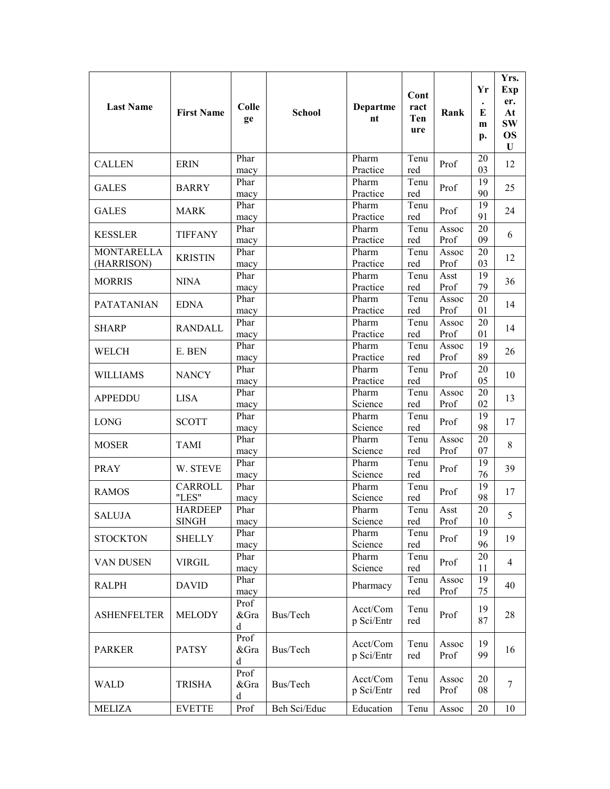| <b>Last Name</b>                | <b>First Name</b>              | <b>Colle</b><br>ge | <b>School</b> | Departme<br>nt         | Cont<br>ract<br>Ten<br>ure | Rank          | Yr<br>E<br>m<br>p.    | Yrs.<br><b>Exp</b><br>er.<br>At<br><b>SW</b><br><b>OS</b><br>U |
|---------------------------------|--------------------------------|--------------------|---------------|------------------------|----------------------------|---------------|-----------------------|----------------------------------------------------------------|
| <b>CALLEN</b>                   | <b>ERIN</b>                    | Phar<br>macy       |               | Pharm<br>Practice      | Tenu<br>red                | Prof          | 20<br>03              | 12                                                             |
| <b>GALES</b>                    | <b>BARRY</b>                   | Phar<br>macy       |               | Pharm<br>Practice      | Tenu<br>red                | Prof          | 19<br>90              | 25                                                             |
| <b>GALES</b>                    | <b>MARK</b>                    | Phar<br>macy       |               | Pharm<br>Practice      | Tenu<br>red                | Prof          | 19<br>91              | 24                                                             |
| <b>KESSLER</b>                  | <b>TIFFANY</b>                 | Phar<br>macy       |               | Pharm<br>Practice      | Tenu<br>red                | Assoc<br>Prof | 20<br>09              | 6                                                              |
| <b>MONTARELLA</b><br>(HARRISON) | <b>KRISTIN</b>                 | Phar<br>macy       |               | Pharm<br>Practice      | Tenu<br>red                | Assoc<br>Prof | 20<br>03              | 12                                                             |
| <b>MORRIS</b>                   | <b>NINA</b>                    | Phar<br>macy       |               | Pharm<br>Practice      | Tenu<br>red                | Asst<br>Prof  | 19<br>79              | 36                                                             |
| <b>PATATANIAN</b>               | <b>EDNA</b>                    | Phar<br>macy       |               | Pharm<br>Practice      | Tenu<br>red                | Assoc<br>Prof | 20<br>01              | 14                                                             |
| <b>SHARP</b>                    | <b>RANDALL</b>                 | Phar<br>macy       |               | Pharm<br>Practice      | Tenu<br>red                | Assoc<br>Prof | 20<br>01              | 14                                                             |
| WELCH                           | E. BEN                         | Phar<br>macy       |               | Pharm<br>Practice      | Tenu<br>red                | Assoc<br>Prof | 19<br>89              | 26                                                             |
| <b>WILLIAMS</b>                 | <b>NANCY</b>                   | Phar<br>macy       |               | Pharm<br>Practice      | Tenu<br>red                | Prof          | 20<br>05              | 10                                                             |
| <b>APPEDDU</b>                  | <b>LISA</b>                    | Phar<br>macy       |               | Pharm<br>Science       | Tenu<br>red                | Assoc<br>Prof | 20<br>02              | 13                                                             |
| <b>LONG</b>                     | <b>SCOTT</b>                   | Phar<br>macy       |               | Pharm<br>Science       | Tenu<br>red                | Prof          | 19<br>98              | 17                                                             |
| <b>MOSER</b>                    | <b>TAMI</b>                    | Phar<br>macy       |               | Pharm<br>Science       | Tenu<br>red                | Assoc<br>Prof | 20<br>07              | 8                                                              |
| <b>PRAY</b>                     | W. STEVE                       | Phar<br>macy       |               | Pharm<br>Science       | Tenu<br>red                | Prof          | $\overline{19}$<br>76 | 39                                                             |
| <b>RAMOS</b>                    | CARROLL<br>"LES"               | Phar<br>macy       |               | Pharm<br>Science       | Tenu<br>red                | Prof          | 19<br>98              | 17                                                             |
| <b>SALUJA</b>                   | <b>HARDEEP</b><br><b>SINGH</b> | Phar<br>macy       |               | Pharm<br>Science       | Tenu<br>red                | Asst<br>Prof  | 20<br>10              | 5                                                              |
| <b>STOCKTON</b>                 | <b>SHELLY</b>                  | Phar<br>macy       |               | Pharm<br>Science       | Tenu<br>red                | Prof          | 19<br>96              | 19                                                             |
| VAN DUSEN                       | <b>VIRGIL</b>                  | Phar<br>macy       |               | Pharm<br>Science       | Tenu<br>red                | Prof          | 20<br>11              | 4                                                              |
| <b>RALPH</b>                    | <b>DAVID</b>                   | Phar<br>macy       |               | Pharmacy               | Tenu<br>red                | Assoc<br>Prof | 19<br>75              | 40                                                             |
| <b>ASHENFELTER</b>              | <b>MELODY</b>                  | Prof<br>&Gra<br>d  | Bus/Tech      | Acct/Com<br>p Sci/Entr | Tenu<br>red                | Prof          | 19<br>87              | 28                                                             |
| <b>PARKER</b>                   | <b>PATSY</b>                   | Prof<br>&Gra<br>d  | Bus/Tech      | Acct/Com<br>p Sci/Entr | Tenu<br>red                | Assoc<br>Prof | 19<br>99              | 16                                                             |
| <b>WALD</b>                     | <b>TRISHA</b>                  | Prof<br>&Gra<br>d  | Bus/Tech      | Acct/Com<br>p Sci/Entr | Tenu<br>red                | Assoc<br>Prof | 20<br>08              | 7                                                              |
| <b>MELIZA</b>                   | <b>EVETTE</b>                  | Prof               | Beh Sci/Educ  | Education              | Tenu                       | Assoc         | 20                    | 10                                                             |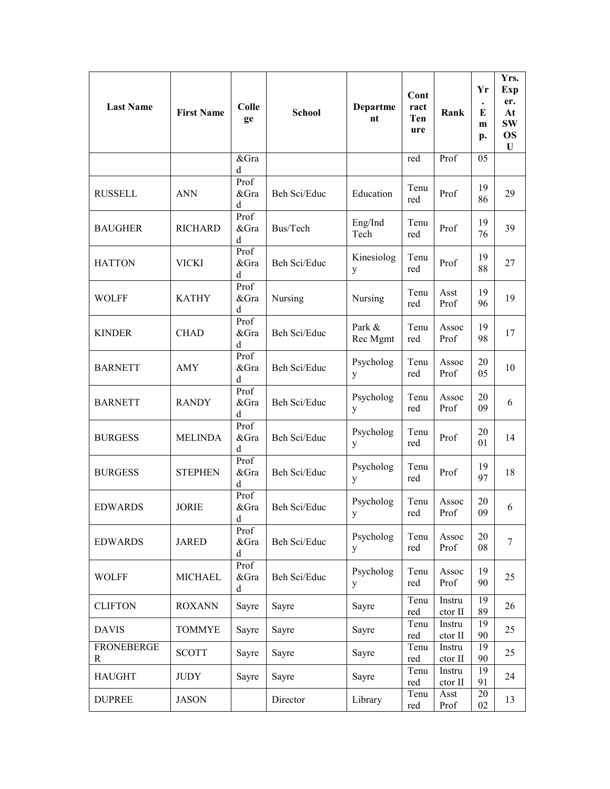| <b>Last Name</b>       | <b>First Name</b> | Colle<br>ge       | <b>School</b> | Departme<br>nt           | Cont<br>ract<br>Ten<br>ure | Rank              | Yr<br>E<br>m<br>p. | Yrs.<br>Exp<br>er.<br>At<br><b>SW</b><br><b>OS</b><br>U |
|------------------------|-------------------|-------------------|---------------|--------------------------|----------------------------|-------------------|--------------------|---------------------------------------------------------|
|                        |                   | &Gra<br>d         |               |                          | red                        | Prof              | 05                 |                                                         |
| <b>RUSSELL</b>         | <b>ANN</b>        | Prof<br>&Gra<br>d | Beh Sci/Educ  | Education                | Tenu<br>red                | Prof              | 19<br>86           | 29                                                      |
| <b>BAUGHER</b>         | <b>RICHARD</b>    | Prof<br>&Gra<br>d | Bus/Tech      | Eng/Ind<br>Tech          | Tenu<br>red                | Prof              | 19<br>76           | 39                                                      |
| <b>HATTON</b>          | <b>VICKI</b>      | Prof<br>&Gra<br>d | Beh Sci/Educ  | Kinesiolog<br>У          | Tenu<br>red                | Prof              | 19<br>88           | 27                                                      |
| <b>WOLFF</b>           | <b>KATHY</b>      | Prof<br>&Gra<br>d | Nursing       | Nursing                  | Tenu<br>red                | Asst<br>Prof      | 19<br>96           | 19                                                      |
| <b>KINDER</b>          | <b>CHAD</b>       | Prof<br>&Gra<br>d | Beh Sci/Educ  | Park &<br>Rec Mgmt       | Tenu<br>red                | Assoc<br>Prof     | 19<br>98           | 17                                                      |
| <b>BARNETT</b>         | AMY               | Prof<br>&Gra<br>d | Beh Sci/Educ  | Psycholog<br>y           | Tenu<br>red                | Assoc<br>Prof     | 20<br>05           | 10                                                      |
| <b>BARNETT</b>         | <b>RANDY</b>      | Prof<br>&Gra<br>d | Beh Sci/Educ  | Psycholog<br>y           | Tenu<br>red                | Assoc<br>Prof     | 20<br>09           | 6                                                       |
| <b>BURGESS</b>         | <b>MELINDA</b>    | Prof<br>&Gra<br>d | Beh Sci/Educ  | Psycholog<br>y           | Tenu<br>red                | Prof              | 20<br>01           | 14                                                      |
| <b>BURGESS</b>         | <b>STEPHEN</b>    | Prof<br>&Gra<br>d | Beh Sci/Educ  | Psycholog<br>y           | Tenu<br>red                | Prof              | 19<br>97           | 18                                                      |
| <b>EDWARDS</b>         | <b>JORIE</b>      | Prof<br>&Gra<br>d | Beh Sci/Educ  | Psycholog<br>$\mathbf y$ | Tenu<br>red                | Assoc<br>Prof     | 20<br>09           | 6                                                       |
| <b>EDWARDS</b>         | <b>JARED</b>      | Prof<br>&Gra<br>d | Beh Sci/Educ  | Psycholog<br>y           | Tenu<br>red                | Assoc<br>Prof     | 20<br>08           | 7                                                       |
| <b>WOLFF</b>           | <b>MICHAEL</b>    | Prof<br>&Gra<br>d | Beh Sci/Educ  | Psycholog<br>y           | Tenu<br>red                | Assoc<br>Prof     | 19<br>90           | 25                                                      |
| <b>CLIFTON</b>         | <b>ROXANN</b>     | Sayre             | Sayre         | Sayre                    | Tenu<br>red                | Instru<br>ctor II | 19<br>89           | 26                                                      |
| <b>DAVIS</b>           | <b>TOMMYE</b>     | Sayre             | Sayre         | Sayre                    | Tenu<br>red                | Instru<br>ctor II | 19<br>90           | 25                                                      |
| <b>FRONEBERGE</b><br>R | <b>SCOTT</b>      | Sayre             | Sayre         | Sayre                    | Tenu<br>red                | Instru<br>ctor II | 19<br>90           | 25                                                      |
| <b>HAUGHT</b>          | <b>JUDY</b>       | Sayre             | Sayre         | Sayre                    | Tenu<br>red                | Instru<br>ctor II | 19<br>91           | 24                                                      |
| <b>DUPREE</b>          | <b>JASON</b>      |                   | Director      | Library                  | Tenu<br>red                | Asst<br>Prof      | 20<br>02           | 13                                                      |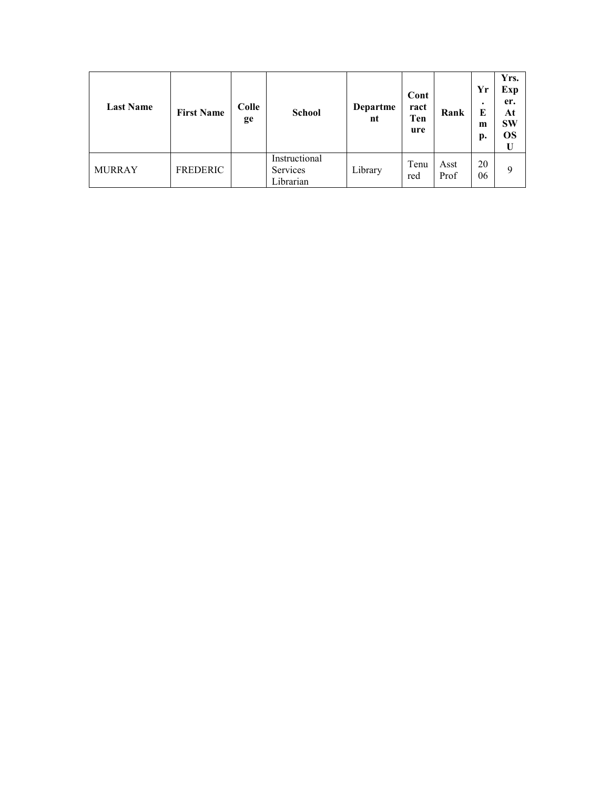| <b>Last Name</b> | <b>First Name</b> | Colle<br>ge | <b>School</b>                                 | Departme<br>nt | Cont<br>ract<br>Ten<br>ure | Rank         | Yr<br>$\bullet$<br>E<br>m<br>p. | Yrs.<br>Exp<br>er.<br>At<br><b>SW</b><br><b>OS</b> |
|------------------|-------------------|-------------|-----------------------------------------------|----------------|----------------------------|--------------|---------------------------------|----------------------------------------------------|
| <b>MURRAY</b>    | FREDERIC          |             | Instructional<br><b>Services</b><br>Librarian | Library        | Tenu<br>red                | Asst<br>Prof | 20<br>06                        | 9                                                  |